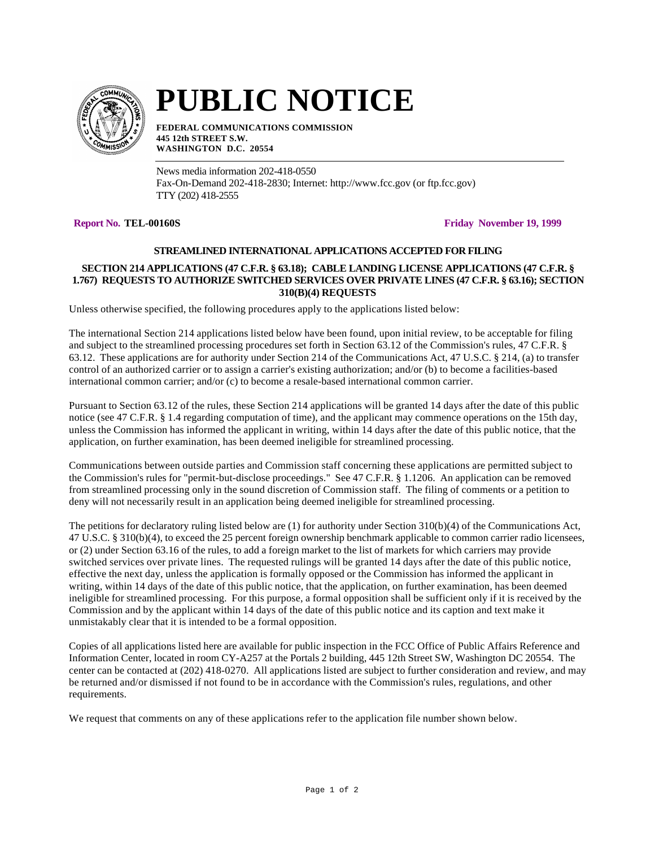

# **PUBLIC NOTICE**

**FEDERAL COMMUNICATIONS COMMISSION 445 12th STREET S.W. WASHINGTON D.C. 20554**

News media information 202-418-0550 Fax-On-Demand 202-418-2830; Internet: http://www.fcc.gov (or ftp.fcc.gov) TTY (202) 418-2555

**Report No. TEL-00160S Friday November 19, 1999**

# **STREAMLINED INTERNATIONAL APPLICATIONS ACCEPTED FOR FILING**

# **SECTION 214 APPLICATIONS (47 C.F.R. § 63.18); CABLE LANDING LICENSE APPLICATIONS (47 C.F.R. § 1.767) REQUESTS TO AUTHORIZE SWITCHED SERVICES OVER PRIVATE LINES (47 C.F.R. § 63.16); SECTION 310(B)(4) REQUESTS**

Unless otherwise specified, the following procedures apply to the applications listed below:

The international Section 214 applications listed below have been found, upon initial review, to be acceptable for filing and subject to the streamlined processing procedures set forth in Section 63.12 of the Commission's rules, 47 C.F.R. § 63.12. These applications are for authority under Section 214 of the Communications Act, 47 U.S.C. § 214, (a) to transfer control of an authorized carrier or to assign a carrier's existing authorization; and/or (b) to become a facilities-based international common carrier; and/or (c) to become a resale-based international common carrier.

Pursuant to Section 63.12 of the rules, these Section 214 applications will be granted 14 days after the date of this public notice (see 47 C.F.R. § 1.4 regarding computation of time), and the applicant may commence operations on the 15th day, unless the Commission has informed the applicant in writing, within 14 days after the date of this public notice, that the application, on further examination, has been deemed ineligible for streamlined processing.

Communications between outside parties and Commission staff concerning these applications are permitted subject to the Commission's rules for "permit-but-disclose proceedings." See 47 C.F.R. § 1.1206. An application can be removed from streamlined processing only in the sound discretion of Commission staff. The filing of comments or a petition to deny will not necessarily result in an application being deemed ineligible for streamlined processing.

The petitions for declaratory ruling listed below are (1) for authority under Section 310(b)(4) of the Communications Act, 47 U.S.C. § 310(b)(4), to exceed the 25 percent foreign ownership benchmark applicable to common carrier radio licensees, or (2) under Section 63.16 of the rules, to add a foreign market to the list of markets for which carriers may provide switched services over private lines. The requested rulings will be granted 14 days after the date of this public notice, effective the next day, unless the application is formally opposed or the Commission has informed the applicant in writing, within 14 days of the date of this public notice, that the application, on further examination, has been deemed ineligible for streamlined processing. For this purpose, a formal opposition shall be sufficient only if it is received by the Commission and by the applicant within 14 days of the date of this public notice and its caption and text make it unmistakably clear that it is intended to be a formal opposition.

Copies of all applications listed here are available for public inspection in the FCC Office of Public Affairs Reference and Information Center, located in room CY-A257 at the Portals 2 building, 445 12th Street SW, Washington DC 20554. The center can be contacted at (202) 418-0270. All applications listed are subject to further consideration and review, and may be returned and/or dismissed if not found to be in accordance with the Commission's rules, regulations, and other requirements.

We request that comments on any of these applications refer to the application file number shown below.